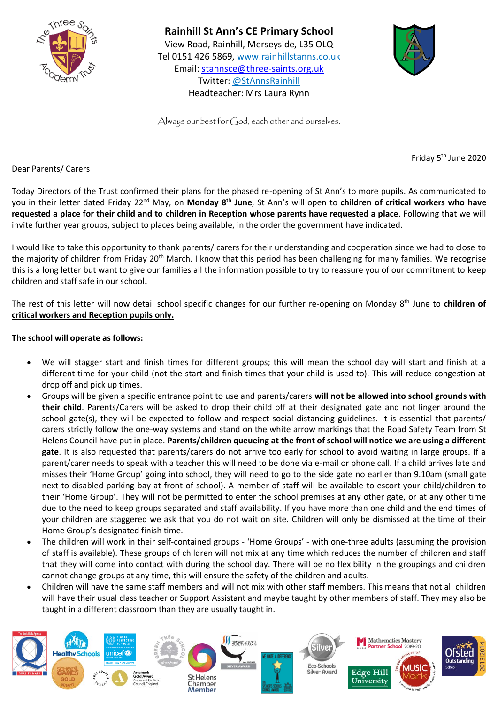



Always our best for  $\bigcirc$  od, each other and ourselves.

Friday 5<sup>th</sup> June 2020

Dear Parents/ Carers

Today Directors of the Trust confirmed their plans for the phased re-opening of St Ann's to more pupils. As communicated to you in their letter dated Friday 22nd May, on **Monday 8th June**, St Ann's will open to **children of critical workers who have requested a place for their child and to children in Reception whose parents have requested a place**. Following that we will invite further year groups, subject to places being available, in the order the government have indicated.

I would like to take this opportunity to thank parents/ carers for their understanding and cooperation since we had to close to the majority of children from Friday 20<sup>th</sup> March. I know that this period has been challenging for many families. We recognise this is a long letter but want to give our families all the information possible to try to reassure you of our commitment to keep children and staff safe in our school**.**

The rest of this letter will now detail school specific changes for our further re-opening on Monday 8<sup>th</sup> June to children of **critical workers and Reception pupils only.** 

## **The school will operate as follows:**

- We will stagger start and finish times for different groups; this will mean the school day will start and finish at a different time for your child (not the start and finish times that your child is used to). This will reduce congestion at drop off and pick up times.
- Groups will be given a specific entrance point to use and parents/carers **will not be allowed into school grounds with their child**. Parents/Carers will be asked to drop their child off at their designated gate and not linger around the school gate(s), they will be expected to follow and respect social distancing guidelines. It is essential that parents/ carers strictly follow the one-way systems and stand on the white arrow markings that the Road Safety Team from St Helens Council have put in place. **Parents/children queueing at the front of school will notice we are using a different gate**. It is also requested that parents/carers do not arrive too early for school to avoid waiting in large groups. If a parent/carer needs to speak with a teacher this will need to be done via e-mail or phone call. If a child arrives late and misses their 'Home Group' going into school, they will need to go to the side gate no earlier than 9.10am (small gate next to disabled parking bay at front of school). A member of staff will be available to escort your child/children to their 'Home Group'. They will not be permitted to enter the school premises at any other gate, or at any other time due to the need to keep groups separated and staff availability. If you have more than one child and the end times of your children are staggered we ask that you do not wait on site. Children will only be dismissed at the time of their Home Group's designated finish time.
- The children will work in their self-contained groups 'Home Groups' with one-three adults (assuming the provision of staff is available). These groups of children will not mix at any time which reduces the number of children and staff that they will come into contact with during the school day. There will be no flexibility in the groupings and children cannot change groups at any time, this will ensure the safety of the children and adults.
- Children will have the same staff members and will not mix with other staff members. This means that not all children will have their usual class teacher or Support Assistant and maybe taught by other members of staff. They may also be taught in a different classroom than they are usually taught in.

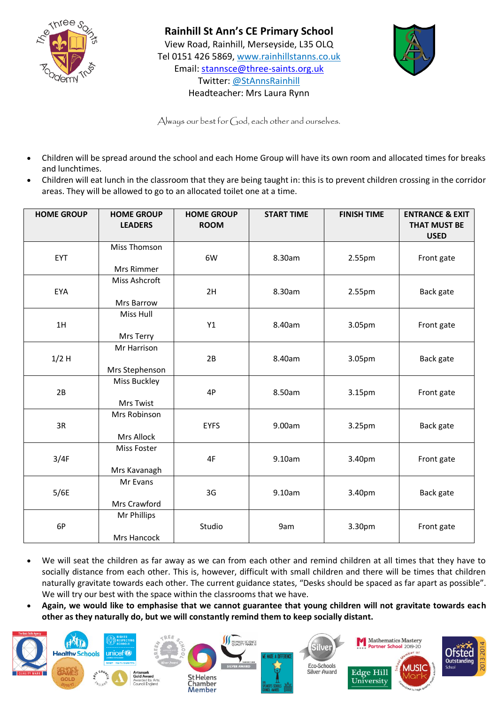



Always our best for God, each other and ourselves.

- Children will be spread around the school and each Home Group will have its own room and allocated times for breaks and lunchtimes.
- Children will eat lunch in the classroom that they are being taught in: this is to prevent children crossing in the corridor areas. They will be allowed to go to an allocated toilet one at a time.

| <b>HOME GROUP</b> | <b>HOME GROUP</b><br><b>LEADERS</b> | <b>HOME GROUP</b><br><b>ROOM</b> | <b>START TIME</b> | <b>FINISH TIME</b> | <b>ENTRANCE &amp; EXIT</b><br><b>THAT MUST BE</b><br><b>USED</b> |
|-------------------|-------------------------------------|----------------------------------|-------------------|--------------------|------------------------------------------------------------------|
| EYT               | Miss Thomson<br>Mrs Rimmer          | 6W                               | 8.30am            | 2.55pm             | Front gate                                                       |
| EYA               | Miss Ashcroft<br>Mrs Barrow         | 2H                               | 8.30am            | 2.55pm             | Back gate                                                        |
| 1H                | Miss Hull<br>Mrs Terry              | Y1                               | 8.40am            | 3.05pm             | Front gate                                                       |
| $1/2$ H           | Mr Harrison<br>Mrs Stephenson       | 2B                               | 8.40am            | 3.05pm             | Back gate                                                        |
| 2B                | Miss Buckley<br>Mrs Twist           | 4P                               | 8.50am            | 3.15pm             | Front gate                                                       |
| 3R                | Mrs Robinson<br><b>Mrs Allock</b>   | <b>EYFS</b>                      | 9.00am            | 3.25pm             | Back gate                                                        |
| 3/4F              | Miss Foster<br>Mrs Kavanagh         | 4F                               | 9.10am            | 3.40pm             | Front gate                                                       |
| 5/6E              | Mr Evans<br>Mrs Crawford            | 3G                               | 9.10am            | 3.40pm             | Back gate                                                        |
| 6P                | Mr Phillips<br>Mrs Hancock          | Studio                           | 9am               | 3.30pm             | Front gate                                                       |

- We will seat the children as far away as we can from each other and remind children at all times that they have to socially distance from each other. This is, however, difficult with small children and there will be times that children naturally gravitate towards each other. The current guidance states, "Desks should be spaced as far apart as possible". We will try our best with the space within the classrooms that we have.
- **Again, we would like to emphasise that we cannot guarantee that young children will not gravitate towards each other as they naturally do, but we will constantly remind them to keep socially distant.**

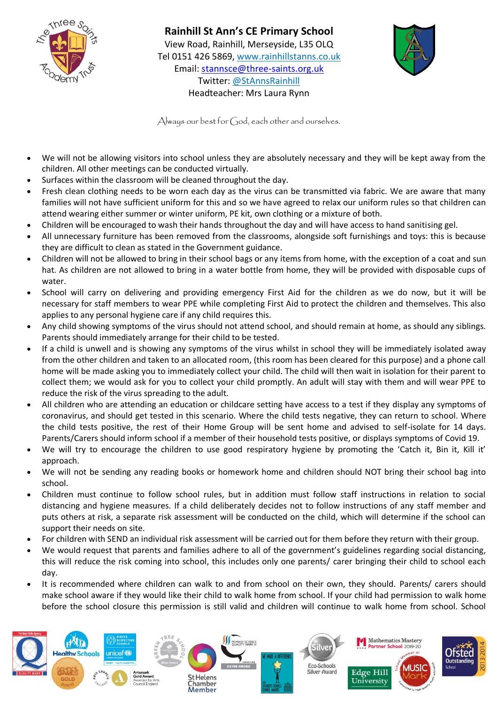



Always our best for  $\bigcirc$  od, each other and ourselves.

- We will not be allowing visitors into school unless they are absolutely necessary and they will be kept away from the children. All other meetings can be conducted virtually.
- Surfaces within the classroom will be cleaned throughout the day.
- Fresh clean clothing needs to be worn each day as the virus can be transmitted via fabric. We are aware that many families will not have sufficient uniform for this and so we have agreed to relax our uniform rules so that children can attend wearing either summer or winter uniform, PE kit, own clothing or a mixture of both.
- Children will be encouraged to wash their hands throughout the day and will have access to hand sanitising gel.
- All unnecessary furniture has been removed from the classrooms, alongside soft furnishings and toys: this is because they are difficult to clean as stated in the Government guidance.
- Children will not be allowed to bring in their school bags or any items from home, with the exception of a coat and sun hat. As children are not allowed to bring in a water bottle from home, they will be provided with disposable cups of water.
- School will carry on delivering and providing emergency First Aid for the children as we do now, but it will be necessary for staff members to wear PPE while completing First Aid to protect the children and themselves. This also applies to any personal hygiene care if any child requires this.
- Any child showing symptoms of the virus should not attend school, and should remain at home, as should any siblings. Parents should immediately arrange for their child to be tested.
- If a child is unwell and is showing any symptoms of the virus whilst in school they will be immediately isolated away from the other children and taken to an allocated room, (this room has been cleared for this purpose) and a phone call home will be made asking you to immediately collect your child. The child will then wait in isolation for their parent to collect them; we would ask for you to collect your child promptly. An adult will stay with them and will wear PPE to reduce the risk of the virus spreading to the adult.
- All children who are attending an education or childcare setting have access to a test if they display any symptoms of coronavirus, and should get tested in this scenario. Where the child tests negative, they can return to school. Where the child tests positive, the rest of their Home Group will be sent home and advised to self-isolate for 14 days. Parents/Carers should inform school if a member of their household tests positive, or displays symptoms of Covid 19.
- We will try to encourage the children to use good respiratory hygiene by promoting the 'Catch it, Bin it, Kill it' approach.
- We will not be sending any reading books or homework home and children should NOT bring their school bag into school.
- Children must continue to follow school rules, but in addition must follow staff instructions in relation to social distancing and hygiene measures. If a child deliberately decides not to follow instructions of any staff member and puts others at risk, a separate risk assessment will be conducted on the child, which will determine if the school can support their needs on site.
- For children with SEND an individual risk assessment will be carried out for them before they return with their group.
- We would request that parents and families adhere to all of the government's guidelines regarding social distancing, this will reduce the risk coming into school, this includes only one parents/ carer bringing their child to school each day.
- It is recommended where children can walk to and from school on their own, they should. Parents/ carers should make school aware if they would like their child to walk home from school. If your child had permission to walk home before the school closure this permission is still valid and children will continue to walk home from school. School

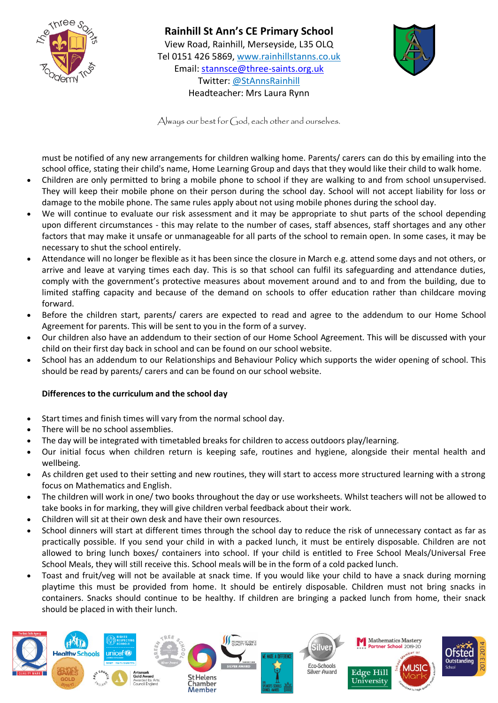



Always our best for  $\bigcirc$  od, each other and ourselves.

must be notified of any new arrangements for children walking home. Parents/ carers can do this by emailing into the school office, stating their child's name, Home Learning Group and days that they would like their child to walk home.

- Children are only permitted to bring a mobile phone to school if they are walking to and from school unsupervised. They will keep their mobile phone on their person during the school day. School will not accept liability for loss or damage to the mobile phone. The same rules apply about not using mobile phones during the school day.
- We will continue to evaluate our risk assessment and it may be appropriate to shut parts of the school depending upon different circumstances - this may relate to the number of cases, staff absences, staff shortages and any other factors that may make it unsafe or unmanageable for all parts of the school to remain open. In some cases, it may be necessary to shut the school entirely.
- Attendance will no longer be flexible as it has been since the closure in March e.g. attend some days and not others, or arrive and leave at varying times each day. This is so that school can fulfil its safeguarding and attendance duties, comply with the government's protective measures about movement around and to and from the building, due to limited staffing capacity and because of the demand on schools to offer education rather than childcare moving forward.
- Before the children start, parents/ carers are expected to read and agree to the addendum to our Home School Agreement for parents. This will be sent to you in the form of a survey.
- Our children also have an addendum to their section of our Home School Agreement. This will be discussed with your child on their first day back in school and can be found on our school website.
- School has an addendum to our Relationships and Behaviour Policy which supports the wider opening of school. This should be read by parents/ carers and can be found on our school website.

## **Differences to the curriculum and the school day**

- Start times and finish times will vary from the normal school day.
- There will be no school assemblies.
- The day will be integrated with timetabled breaks for children to access outdoors play/learning.
- Our initial focus when children return is keeping safe, routines and hygiene, alongside their mental health and wellbeing.
- As children get used to their setting and new routines, they will start to access more structured learning with a strong focus on Mathematics and English.
- The children will work in one/ two books throughout the day or use worksheets. Whilst teachers will not be allowed to take books in for marking, they will give children verbal feedback about their work.
- Children will sit at their own desk and have their own resources.
- School dinners will start at different times through the school day to reduce the risk of unnecessary contact as far as practically possible. If you send your child in with a packed lunch, it must be entirely disposable. Children are not allowed to bring lunch boxes/ containers into school. If your child is entitled to Free School Meals/Universal Free School Meals, they will still receive this. School meals will be in the form of a cold packed lunch.
- Toast and fruit/veg will not be available at snack time. If you would like your child to have a snack during morning playtime this must be provided from home. It should be entirely disposable. Children must not bring snacks in containers. Snacks should continue to be healthy. If children are bringing a packed lunch from home, their snack should be placed in with their lunch.